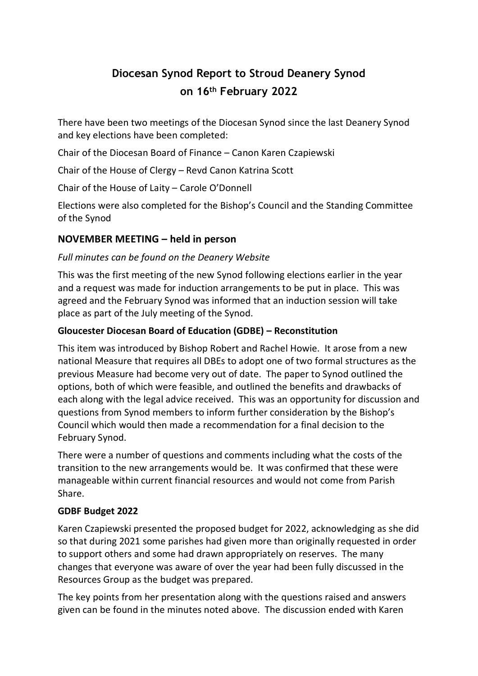# **Diocesan Synod Report to Stroud Deanery Synod on 16th February 2022**

There have been two meetings of the Diocesan Synod since the last Deanery Synod and key elections have been completed:

Chair of the Diocesan Board of Finance – Canon Karen Czapiewski

Chair of the House of Clergy – Revd Canon Katrina Scott

Chair of the House of Laity – Carole O'Donnell

Elections were also completed for the Bishop's Council and the Standing Committee of the Synod

## **NOVEMBER MEETING – held in person**

## *Full minutes can be found on the Deanery Website*

This was the first meeting of the new Synod following elections earlier in the year and a request was made for induction arrangements to be put in place. This was agreed and the February Synod was informed that an induction session will take place as part of the July meeting of the Synod.

## **Gloucester Diocesan Board of Education (GDBE) – Reconstitution**

This item was introduced by Bishop Robert and Rachel Howie. It arose from a new national Measure that requires all DBEs to adopt one of two formal structures as the previous Measure had become very out of date. The paper to Synod outlined the options, both of which were feasible, and outlined the benefits and drawbacks of each along with the legal advice received. This was an opportunity for discussion and questions from Synod members to inform further consideration by the Bishop's Council which would then made a recommendation for a final decision to the February Synod.

There were a number of questions and comments including what the costs of the transition to the new arrangements would be. It was confirmed that these were manageable within current financial resources and would not come from Parish Share.

## **GDBF Budget 2022**

Karen Czapiewski presented the proposed budget for 2022, acknowledging as she did so that during 2021 some parishes had given more than originally requested in order to support others and some had drawn appropriately on reserves. The many changes that everyone was aware of over the year had been fully discussed in the Resources Group as the budget was prepared.

The key points from her presentation along with the questions raised and answers given can be found in the minutes noted above. The discussion ended with Karen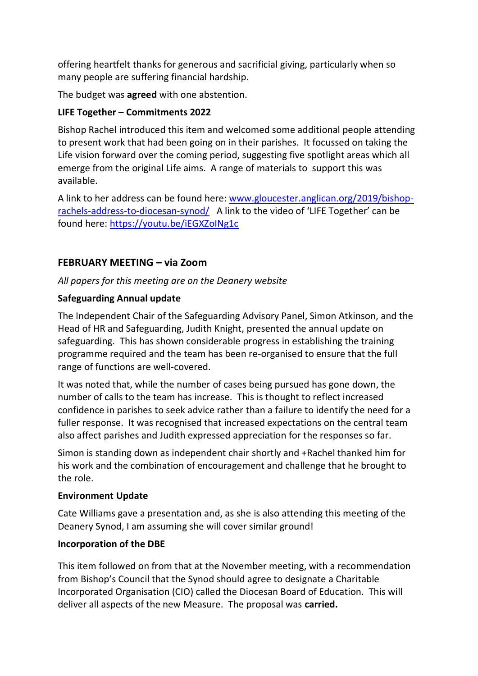offering heartfelt thanks for generous and sacrificial giving, particularly when so many people are suffering financial hardship.

The budget was **agreed** with one abstention.

## **LIFE Together – Commitments 2022**

Bishop Rachel introduced this item and welcomed some additional people attending to present work that had been going on in their parishes. It focussed on taking the Life vision forward over the coming period, suggesting five spotlight areas which all emerge from the original Life aims. A range of materials to support this was available.

A link to her address can be found here: [www.gloucester.anglican.org/2019/bishop](http://www.gloucester.anglican.org/2019/bishop-rachels-address-to-diocesan-synod/)[rachels-address-to-diocesan-synod/](http://www.gloucester.anglican.org/2019/bishop-rachels-address-to-diocesan-synod/) A link to the video of 'LIFE Together' can be found here:<https://youtu.be/iEGXZoINg1c>

# **FEBRUARY MEETING – via Zoom**

*All papers for this meeting are on the Deanery website*

## **Safeguarding Annual update**

The Independent Chair of the Safeguarding Advisory Panel, Simon Atkinson, and the Head of HR and Safeguarding, Judith Knight, presented the annual update on safeguarding. This has shown considerable progress in establishing the training programme required and the team has been re-organised to ensure that the full range of functions are well-covered.

It was noted that, while the number of cases being pursued has gone down, the number of calls to the team has increase. This is thought to reflect increased confidence in parishes to seek advice rather than a failure to identify the need for a fuller response. It was recognised that increased expectations on the central team also affect parishes and Judith expressed appreciation for the responses so far.

Simon is standing down as independent chair shortly and +Rachel thanked him for his work and the combination of encouragement and challenge that he brought to the role.

## **Environment Update**

Cate Williams gave a presentation and, as she is also attending this meeting of the Deanery Synod, I am assuming she will cover similar ground!

## **Incorporation of the DBE**

This item followed on from that at the November meeting, with a recommendation from Bishop's Council that the Synod should agree to designate a Charitable Incorporated Organisation (CIO) called the Diocesan Board of Education. This will deliver all aspects of the new Measure. The proposal was **carried.**